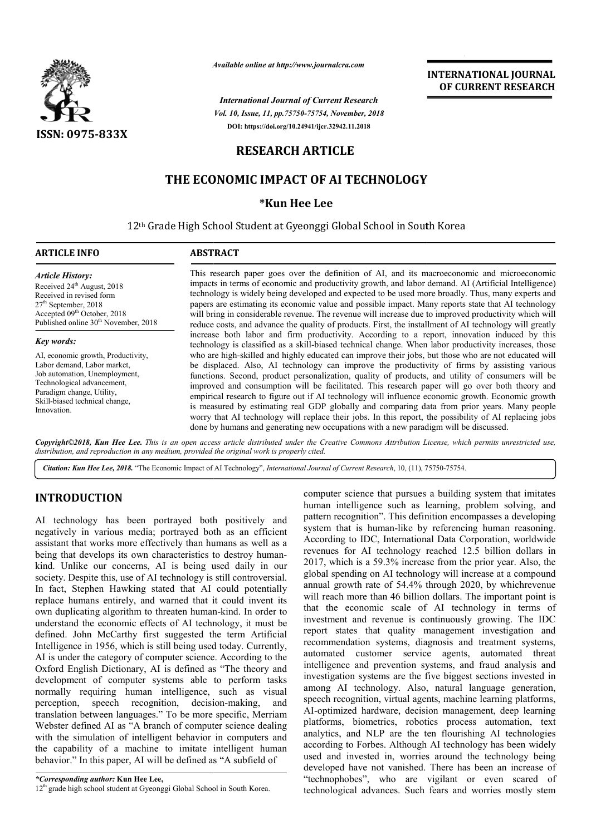

*Available online at http://www.journalcra.com*

*International Journal of Current Research Vol. 10, Issue, 11, pp.75750-75754, November, 2018* **DOI: https://doi.org/10.24941/ijcr.32942.11.2018**

# **INTERNATIONAL JOURNAL OF CURRENT RESEARCH**

# **RESEARCH ARTICLE**

# **THE ECONOMIC IMPACT OF AI TECHNOLOGY**

## **\*Kun Hee Lee**

12<sup>th</sup> Grade High School Student at Gyeonggi Global School in South Korea

## **ARTICLE INFO ABSTRACT**

*Article History:* Received 24<sup>th</sup> August, 2018 Received in revised form 27<sup>th</sup> September, 2018 Accepted 09<sup>th</sup> October, 2018 Published online 30<sup>th</sup> November, 2018

## *Key words:*

AI, economic growth, Productivity, Labor demand, Labor market, Job automation, Unemployment, Technological advancement, Paradigm change, Utility, Skill-biased technical change, Innovation.

This research paper goes over the definition of AI, and its macroeconomic and microeconomic This research paper goes over the definition of AI, and its macroeconomic and microeconomic impacts in terms of economic and productivity growth, and labor demand. AI (Artificial Intelligence) technology is widely being developed and expected to be used more broadly. Thus, many experts and papers are estimating its economic value and possible impact. Many reports state that AI technology will bring in considerable revenue. The revenue will increase due to improved productivity which will reduce costs, and advance the quality of products. First, the installment of AI technology will greatly increase both labor and firm productivity. According to a report, innovation induced by this technology is classified as a skill-biased technical change. When who are high-skilled and highly educated can improve their jobs, but those who are not educated will be displaced. Also, AI technology can improve the productivity of firms by assisting various functions. Second, product personalization, quality of products, and utility of consumers will be improved and consumption will be facilitated. This research paper will go over both theory and empirical research to figure out if AI technology will influence economic growth. Economic growth is measured by estimating real GDP globally and comparing data from prior years. Many people worry that AI technology will replace their jobs. In this report, the possibility of AI r done by humans and generating new occupations with a new paradigm will be discussed. technology is widely being developed and expected to be used more broadly. Thus, many experts and papers are estimating its economic value and possible impact. Many reports state that AI technology will bring in considerab who are high-skilled and highly educated can improve their jobs, but those who are not educated will be displaced. Also, AI technology can improve the productivity of firms by assisting various functions. Second, product p

Copyright©2018, Kun Hee Lee. This is an open access article distributed under the Creative Commons Attribution License, which permits unrestricted use, *distribution, and reproduction in any medium, provided the original work is properly cited.*

Citation: Kun Hee Lee, 2018. "The Economic Impact of AI Technology", *International Journal of Current Research*, 10, (11), 75750-75754.

## **INTRODUCTION**

AI technology has been portrayed both positively and negatively in various media; portrayed both as an efficient assistant that works more effectively than humans as well as a being that develops its own characteristics to destroy humankind. Unlike our concerns, AI is being used daily in our society. Despite this, use of AI technology is still controversial. In fact, Stephen Hawking stated that AI could potentially replace humans entirely, and warned that it could invent its own duplicating algorithm to threaten human-kind. In order to understand the economic effects of AI technology, it must be defined. John McCarthy first suggested the term Artificial Intelligence in 1956, which is still being used today. Cu Currently, AI is under the category of computer science. According to the Oxford English Dictionary, AI is defined as "The theory and development of computer systems able to perform tasks normally requiring human intelligence, such as visual perception, speech recognition, decision-making, and translation between languages." To be more specific, Merriam Webster defined AI as "A branch of computer science dealing with the simulation of intelligent behavior in computers and the capability of a machine to imitate intelligent human behavior." In this paper, AI will be defined as "A subfield of e intelligent hu<br>d as "A subfield o<br>chool in South Korea.

computer science that pursues a building system that imitates human intelligence such as learning, problem solving, and pattern recognition". This definition encompasses a developing system that is human-like by referencing human reasoning. According to IDC, International Data Corporation, worldwide revenues for AI technology reached 12.5 billion dollars in 2017, which is a 59.3% increase from the prior year. Also, the global spending on AI technology will increase at a compound annual growth rate of 54.4% through 2020, by whichrevenue will reach more than 46 billion dollars. The important point is that the economic scale of AI technology in terms of investment and revenue is continuously growing. The IDC report states that quality management investigation and recommendation systems, diagnosis and treatment systems, automated customer service agents, automated threat intelligence and prevention systems, and fraud analysis and investigation systems are the five biggest sections invested in among AI technology. Also, natural language generation, speech recognition, virtual agents, machine learning platforms, AI-optimized hardware, decision management, deep learning platforms, biometrics, robotics process automation, text analytics, and NLP are the ten flourishing AI technologies according to Forbes. Although AI technology has been widely used and invested in, worries around the technology being developed have not vanished. There has been an increase of "technophobes", who are vigilant or even scared of technological advances. Such fears and worries mostly stem human intelligence such as learning, problem solving, and pattern recognition". This definition encompasses a developing system that is human-like by referencing human reasoning. According to IDC, International Data Corpor automated customer service agents, automated threat intelligence and prevention systems, and fraud analysis and investigation systems are the five biggest sections invested in among AI technology. Also, natural language ge INTERNATIONAL JOURNAL<br>
For thesearch<br> **OF CURRENT RESEARCH**<br>
November, 2018<br>
November, 2018<br>
23942.11.2018<br>
23942.11.2018<br> **CLLE**<br> **AI TECHNOLOGY**<br> **e**<br> **COLDE**<br> **COLDE**<br> **COLDE**<br> **COLDE**<br> **COLDE**<br> **COLDE**<br> **COLDE**<br> **COLDE**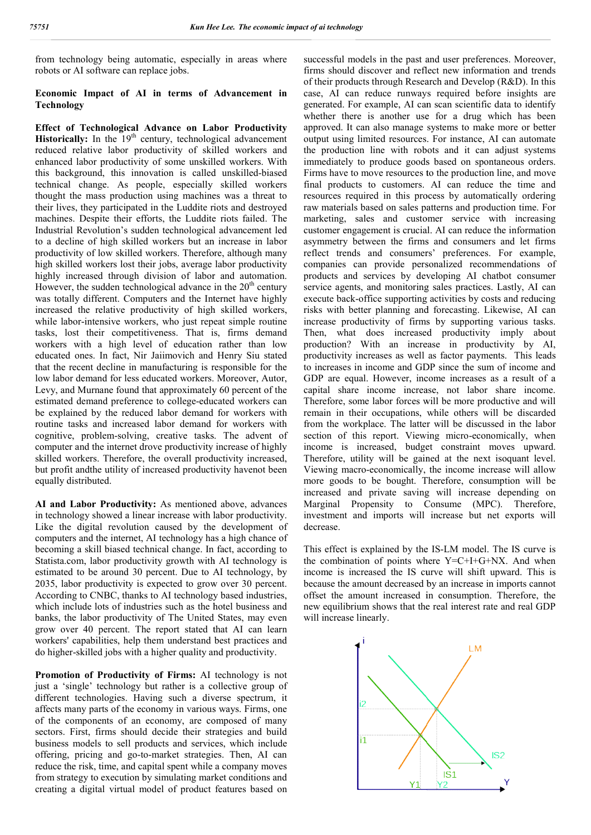from technology being automatic, especially in areas where robots or AI software can replace jobs.

## **Economic Impact of AI in terms of Advancement in Technology**

**Effect of Technological Advance on Labor Productivity Historically:** In the 19<sup>th</sup> century, technological advancement reduced relative labor productivity of skilled workers and enhanced labor productivity of some unskilled workers. With this background, this innovation is called unskilled unskilled-biased technical change. As people, especially s skilled workers thought the mass production using machines was a threat to their lives, they participated in the Luddite riots and destroyed machines. Despite their efforts, the Luddite riots failed. The Industrial Revolution's sudden technological advancement led to a decline of high skilled workers but an increase in labor productivity of low skilled workers. Therefore, although many high skilled workers lost their jobs, average labor productivity highly increased through division of labor and automation. However, the sudden technological advance in the  $20<sup>th</sup>$  century was totally different. Computers and the Internet have highly increased the relative productivity of high skilled workers, while labor-intensive workers, who just repeat simple routine tasks, lost their competitiveness. That is, firms demand workers with a high level of education rather than low educated ones. In fact, Nir Jaiimovich and Henry Siu stated that the recent decline in manufacturing is responsible for the low labor demand for less educated workers. Moreover, Autor, Levy, and Murnane found that approximately 60 percent of the estimated demand preference to college-educated workers can be explained by the reduced labor demand for workers with routine tasks and increased labor demand for workers with cognitive, problem-solving, creative tasks. The advent of computer and the internet drove productivity increase of highly skilled workers. Therefore, the overall productivity increased, but profit and the utility of increased productivity haven to been equally distributed. or-intensive workers, who just repeat simple routine<br>st their competitiveness. That is, firms demand<br>with a high level of education rather than low<br>ones. In fact, Nir Jaiimovich and Henry Siu stated<br>ecent decline in manufa solving, creative tasks. The advent of<br>ernet drove productivity increase of highly<br>refore, the overall productivity increased,<br>ity of increased productivity havenot been

**AI and Labor Productivity:** As mentioned above, advances in technology showed a linear increase with labor productivity. Like the digital revolution caused by the development of computers and the internet, AI technology has a high chance of becoming a skill biased technical change. In fact, according to Statista.com, labor productivity growth with AI technology is estimated to be around 30 percent. Due to AI technology, by 2035, labor productivity is expected to grow over 30 percent. According to CNBC, thanks to AI technology based industries, which include lots of industries such as the hotel business and banks, the labor productivity of The United States, may even grow over 40 percent. The report stated that AI can learn workers' capabilities, help them understand best practices and do higher-skilled jobs with a higher quality and productivity.

**Promotion of Productivity of Firms:** AI technology is not just a 'single' technology but rather is a collective group of different technologies. Having such a diverse spectrum, it affects many parts of the economy in various ways. Firms, one of the components of an economy, are composed of many sectors. First, firms should decide their strategies and build business models to sell products and services, which include offering, pricing and go-to-market strategies. Then, AI can reduce the risk, time, and capital spent while a company moves from strategy to execution by simulating market conditions and creating a digital virtual model of product features based on rs' capabilities, help them understand best practices and<br>her-skilled jobs with a higher quality and productivity.<br>**otion of Productivity of Firms:** AI technology is not<br>'single' technology but rather is a collective group

cally in areas where<br>
interaction and other in the past and user preferences. Moreover, a<br>
more simpled in the past and user preferences in the past and user<br>
of Advancement in calendard for example, AI can some scalariti firms should discover and reflect new information and trends of their products through Research and Develop (R&D). In this case, AI can reduce runways required before insig generated. For example, AI can scan scientific data to identify whether there is another use for a drug which has been approved. It can also manage systems to make more or better output using limited resources. For instance, AI can automate the production line with robots and it can adjust systems immediately to produce goods based on spontaneous orders. generated. For example, AI can scan scientific data to identify whether there is another use for a drug which has been approved. It can also manage systems to make more or better output using limited resources. For instanc final products to customers. AI can reduce the time and resources required in this process by automatically ordering raw materials based on sales patterns and production time. For marketing, sales and customer service with increasing customer engagement is crucial. AI can reduce the information asymmetry between the firms and consumers and let firms reflect trends and consumers' preferences. For example, companies can provide personalized recommendations of products and services by developing AI chatbot consumer service agents, and monitoring sales practices. Lastly, AI can execute back-office supporting activities by costs and reducing risks with better planning and forecasting. Likewise, AI can increase productivity of firms by supporting various tasks. Then, what does increased productivity imply about production? With an increase in productivity by AI, productivity increases as well as factor payments. This leads to increases in income and GDP since the sum of income and GDP are equal. However, income increases as a result of a capital share income increase, not labor share income. Therefore, some labor forces will be more productive and will remain in their occupations, while others will be discarded from the workplace. The latter will be discussed in the labor section of this report. Viewing micro-economically, when income is increased, budget constraint moves upward. Therefore, utility will be gained at the next isoquant level. Viewing macro-economically, the income increase will allow more goods to be bought. Therefore, consumption will be income is increased, budget constraint moves upward.<br>Therefore, utility will be gained at the next isoquant level.<br>Viewing macro-economically, the income increase will allow<br>more goods to be bought. Therefore, consumption Marginal Propensity to Consume (MPC). Therefore, investment and imports will increase but net exports will decrease. investment and imports will increase but net exports will decrease.<br>This effect is explained by the IS-LM model. The IS curve is sful models in the past and user preferences. Moreover, should discover and reflect new information and trends r products through Research and Develop (R&D). In this AI can reduce runways required before insights are raw materials based on sales patterns and production time. For marketing, sales and customer service with increasing customer engagement is crucial. AI can reduce the information asymmetry between the firms and consumers a reflect trends and consumers' preferences. For example, companies can provide personalized recommendations of products and services by developing AI chatbot consumer service agents, and monitoring sales practices. Lastly, ctivity increases as well as factor payments. This leads<br>reases in income and GDP since the sum of income and<br>are equal. However, income increases as a result of a share income increase, not labor share income.<br>
e, some labor forces will be more productive and will<br>
in their occupations, while others will be discarded<br>
tworkplace. The latter will be discussed in the labor<br>
of this re

the combination of points where Y=C+I+G+NX. And when income is increased the IS curve will shift upward. This is because the amount decreased by an increase in imports cannot offset the amount increased in consumption. Therefore, the new equilibrium shows that the real interest rate and real GDP will increase linearly. combination of points where  $Y=C+I+G+NX$ . And<br>me is increased the IS curve will shift upward. T<br>use the amount decreased by an increase in imports of<br>t the amount increased in consumption. Therefor<br>equilibrium shows that th

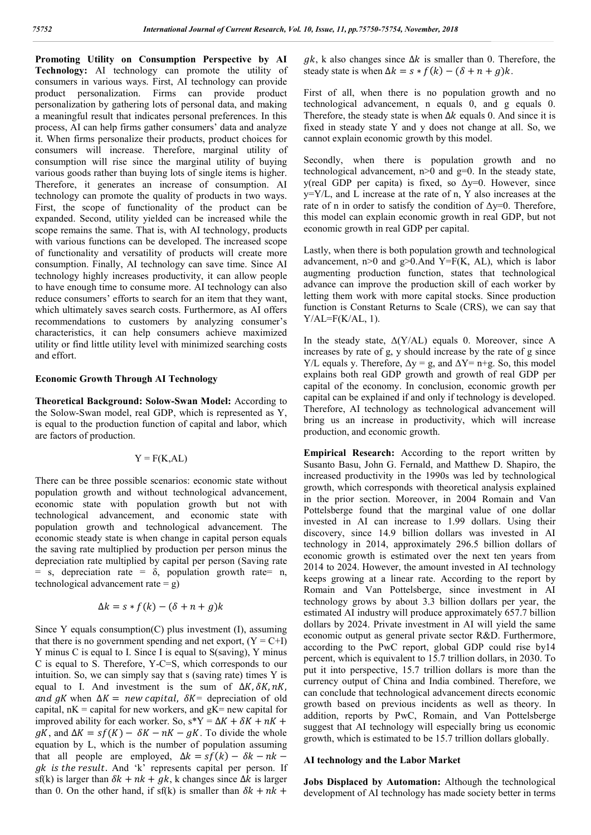**Promoting Utility on Consumption Perspective by AI Technology:** AI technology can promote the utility of consumers in various ways. First, AI technology can provide product personalization. Firms can provide product personalization by gathering lots of personal data, and making a meaningful result that indicates personal preferences. In this process, AI can help firms gather consumers' data and analyze it. When firms personalize their products, product choices for consumers will increase. Therefore, marginal utility of consumption will rise since the marginal utility of buying various goods rather than buying lots of single items is higher. Therefore, it generates an increase of consumption. AI technology can promote the quality of products in two ways. First, the scope of functionality of the product can be expanded. Second, utility yielded can be increased while the scope remains the same. That is, with AI technology, products with various functions can be developed. The increased scope of functionality and versatility of products will create more consumption. Finally, AI technology can save time. Since AI technology highly increases productivity, it can allow people to have enough time to consume more. AI technology can also reduce consumers' efforts to search for an item that they want, which ultimately saves search costs. Furthermore, as AI offers recommendations to customers by analyzing consumer's characteristics, it can help consumers achieve maximized utility or find little utility level with minimized searching costs and effort.

#### **Economic Growth Through AI Technology**

**Theoretical Background: Solow-Swan Model:** According to the Solow-Swan model, real GDP, which is represented as Y, is equal to the production function of capital and labor, which are factors of production.

$$
Y = F(K, AL)
$$

There can be three possible scenarios: economic state without population growth and without technological advancement, economic state with population growth but not with technological advancement, and economic state with population growth and technological advancement. The economic steady state is when change in capital person equals the saving rate multiplied by production per person minus the depreciation rate multiplied by capital per person (Saving rate  $=$  s, depreciation rate  $=$   $\delta$ , population growth rate  $=$  n, technological advancement rate  $= g$ )

$$
\Delta k = s * f(k) - (\delta + n + g)k
$$

Since Y equals consumption $(C)$  plus investment  $(I)$ , assuming that there is no government spending and net export,  $(Y = C+I)$ Y minus C is equal to I. Since I is equal to S(saving), Y minus C is equal to S. Therefore, Y-C=S, which corresponds to our intuition. So, we can simply say that s (saving rate) times Y is equal to I. And investment is the sum of  $\Delta K$ ,  $\delta K$ ,  $nK$ , and  $qK$  when  $\Delta K = new capital$ ,  $\delta K =$  depreciation of old capital,  $nK =$  capital for new workers, and  $gK =$  new capital for improved ability for each worker. So,  $s^*Y = \Delta K + \delta K + nK +$  $gK$ , and  $\Delta K = sf(K) - \delta K - nK - gK$ . To divide the whole equation by L, which is the number of population assuming that all people are employed,  $\Delta k = sf(k) - \delta k - nk$  –  $gk$  is the result. And 'k' represents capital per person. If sf(k) is larger than  $\delta k + nk + g k$ , k changes since  $\Delta k$  is larger than 0. On the other hand, if sf(k) is smaller than  $\delta k + nk$  +

 $gk$ , k also changes since  $\Delta k$  is smaller than 0. Therefore, the steady state is when  $\Delta k = s * f(k) - (\delta + n + g)k$ .

First of all, when there is no population growth and no technological advancement, n equals 0, and g equals 0. Therefore, the steady state is when  $\Delta k$  equals 0. And since it is fixed in steady state Y and y does not change at all. So, we cannot explain economic growth by this model.

Secondly, when there is population growth and no technological advancement,  $n>0$  and  $g=0$ . In the steady state, y(real GDP per capita) is fixed, so Δy=0. However, since y=Y/L, and L increase at the rate of n, Y also increases at the rate of n in order to satisfy the condition of  $\Delta y=0$ . Therefore, this model can explain economic growth in real GDP, but not economic growth in real GDP per capital.

Lastly, when there is both population growth and technological advancement,  $n>0$  and  $g>0$ . And Y=F(K, AL), which is labor augmenting production function, states that technological advance can improve the production skill of each worker by letting them work with more capital stocks. Since production function is Constant Returns to Scale (CRS), we can say that  $Y/AL=F(K/AL, 1)$ .

In the steady state,  $\Delta$ (Y/AL) equals 0. Moreover, since A increases by rate of g, y should increase by the rate of g since Y/L equals y. Therefore,  $\Delta y = g$ , and  $\Delta Y = n + g$ . So, this model explains both real GDP growth and growth of real GDP per capital of the economy. In conclusion, economic growth per capital can be explained if and only if technology is developed. Therefore, AI technology as technological advancement will bring us an increase in productivity, which will increase production, and economic growth.

**Empirical Research:** According to the report written by Susanto Basu, John G. Fernald, and Matthew D. Shapiro, the increased productivity in the 1990s was led by technological growth, which corresponds with theoretical analysis explained in the prior section. Moreover, in 2004 Romain and Van Pottelsberge found that the marginal value of one dollar invested in AI can increase to 1.99 dollars. Using their discovery, since 14.9 billion dollars was invested in AI technology in 2014, approximately 296.5 billion dollars of economic growth is estimated over the next ten years from 2014 to 2024. However, the amount invested in AI technology keeps growing at a linear rate. According to the report by Romain and Van Pottelsberge, since investment in AI technology grows by about 3.3 billion dollars per year, the estimated AI industry will produce approximately 657.7 billion dollars by 2024. Private investment in AI will yield the same economic output as general private sector R&D. Furthermore, according to the PwC report, global GDP could rise by14 percent, which is equivalent to 15.7 trillion dollars, in 2030. To put it into perspective, 15.7 trillion dollars is more than the currency output of China and India combined. Therefore, we can conclude that technological advancement directs economic growth based on previous incidents as well as theory. In addition, reports by PwC, Romain, and Van Pottelsberge suggest that AI technology will especially bring us economic growth, which is estimated to be 15.7 trillion dollars globally.

#### **AI technology and the Labor Market**

**Jobs Displaced by Automation:** Although the technological development of AI technology has made society better in terms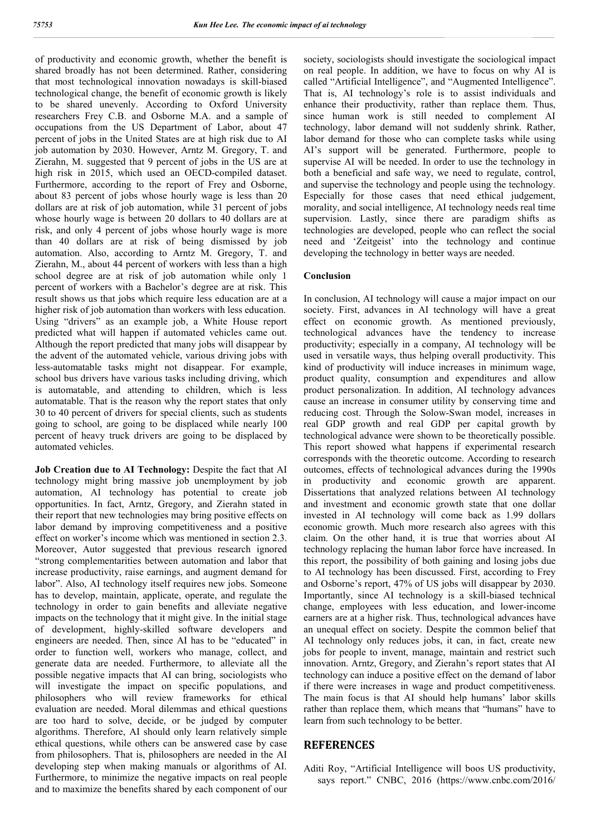of productivity and economic growth, whether the benefit is shared broadly has not been determined. Rather, considering that most technological innovation nowadays is skill-biased technological change, the benefit of economic growth is likely to be shared unevenly. According to Oxford University researchers Frey C.B. and Osborne M.A. and a sample of occupations from the US Department of Labor, about 47 percent of jobs in the United States are at high risk due to AI job automation by 2030. However, Arntz M. Gregory, T. and Zierahn, M. suggested that 9 percent of jobs in the US are at high risk in 2015, which used an OECD-compiled dataset. Furthermore, according to the report of Frey and Osborne, about 83 percent of jobs whose hourly wage is less than 20 dollars are at risk of job automation, while 31 percent of jobs whose hourly wage is between 20 dollars to 40 dollars are at risk, and only 4 percent of jobs whose hourly wage is more than 40 dollars are at risk of being dismissed by job automation. Also, according to Arntz M. Gregory, T. and Zierahn, M., about 44 percent of workers with less than a high school degree are at risk of job automation while only 1 percent of workers with a Bachelor's degree are at risk. This result shows us that jobs which require less education are at a higher risk of job automation than workers with less education. Using "drivers" as an example job, a White House report predicted what will happen if automated vehicles came out. Although the report predicted that many jobs will disappear by the advent of the automated vehicle, various driving jobs with less-automatable tasks might not disappear. For example, school bus drivers have various tasks including driving, which is automatable, and attending to children, which is less automatable. That is the reason why the report states that only 30 to 40 percent of drivers for special clients, such as students going to school, are going to be displaced while nearly 100 percent of heavy truck drivers are going to be displaced by automated vehicles.

**Job Creation due to AI Technology:** Despite the fact that AI technology might bring massive job unemployment by job automation, AI technology has potential to create job opportunities. In fact, Arntz, Gregory, and Zierahn stated in their report that new technologies may bring positive effects on labor demand by improving competitiveness and a positive effect on worker's income which was mentioned in section 2.3. Moreover, Autor suggested that previous research ignored "strong complementarities between automation and labor that increase productivity, raise earnings, and augment demand for labor". Also, AI technology itself requires new jobs. Someone has to develop, maintain, applicate, operate, and regulate the technology in order to gain benefits and alleviate negative impacts on the technology that it might give. In the initial stage of development, highly-skilled software developers and engineers are needed. Then, since AI has to be "educated" in order to function well, workers who manage, collect, and generate data are needed. Furthermore, to alleviate all the possible negative impacts that AI can bring, sociologists who will investigate the impact on specific populations, and philosophers who will review frameworks for ethical evaluation are needed. Moral dilemmas and ethical questions are too hard to solve, decide, or be judged by computer algorithms. Therefore, AI should only learn relatively simple ethical questions, while others can be answered case by case from philosophers. That is, philosophers are needed in the AI developing step when making manuals or algorithms of AI. Furthermore, to minimize the negative impacts on real people and to maximize the benefits shared by each component of our

society, sociologists should investigate the sociological impact on real people. In addition, we have to focus on why AI is called "Artificial Intelligence", and "Augmented Intelligence". That is, AI technology's role is to assist individuals and enhance their productivity, rather than replace them. Thus, since human work is still needed to complement AI technology, labor demand will not suddenly shrink. Rather, labor demand for those who can complete tasks while using AI's support will be generated. Furthermore, people to supervise AI will be needed. In order to use the technology in both a beneficial and safe way, we need to regulate, control, and supervise the technology and people using the technology. Especially for those cases that need ethical judgement, morality, and social intelligence, AI technology needs real time supervision. Lastly, since there are paradigm shifts as technologies are developed, people who can reflect the social need and 'Zeitgeist' into the technology and continue developing the technology in better ways are needed.

## **Conclusion**

In conclusion, AI technology will cause a major impact on our society. First, advances in AI technology will have a great effect on economic growth. As mentioned previously, technological advances have the tendency to increase productivity; especially in a company, AI technology will be used in versatile ways, thus helping overall productivity. This kind of productivity will induce increases in minimum wage, product quality, consumption and expenditures and allow product personalization. In addition, AI technology advances cause an increase in consumer utility by conserving time and reducing cost. Through the Solow-Swan model, increases in real GDP growth and real GDP per capital growth by technological advance were shown to be theoretically possible. This report showed what happens if experimental research corresponds with the theoretic outcome. According to research outcomes, effects of technological advances during the 1990s in productivity and economic growth are apparent. Dissertations that analyzed relations between AI technology and investment and economic growth state that one dollar invested in AI technology will come back as 1.99 dollars economic growth. Much more research also agrees with this claim. On the other hand, it is true that worries about AI technology replacing the human labor force have increased. In this report, the possibility of both gaining and losing jobs due to AI technology has been discussed. First, according to Frey and Osborne's report, 47% of US jobs will disappear by 2030. Importantly, since AI technology is a skill-biased technical change, employees with less education, and lower-income earners are at a higher risk. Thus, technological advances have an unequal effect on society. Despite the common belief that AI technology only reduces jobs, it can, in fact, create new jobs for people to invent, manage, maintain and restrict such innovation. Arntz, Gregory, and Zierahn's report states that AI technology can induce a positive effect on the demand of labor if there were increases in wage and product competitiveness. The main focus is that AI should help humans' labor skills rather than replace them, which means that "humans" have to learn from such technology to be better.

## **REFERENCES**

Aditi Roy, "Artificial Intelligence will boos US productivity, says report." CNBC, 2016 (https://www.cnbc.com/2016/